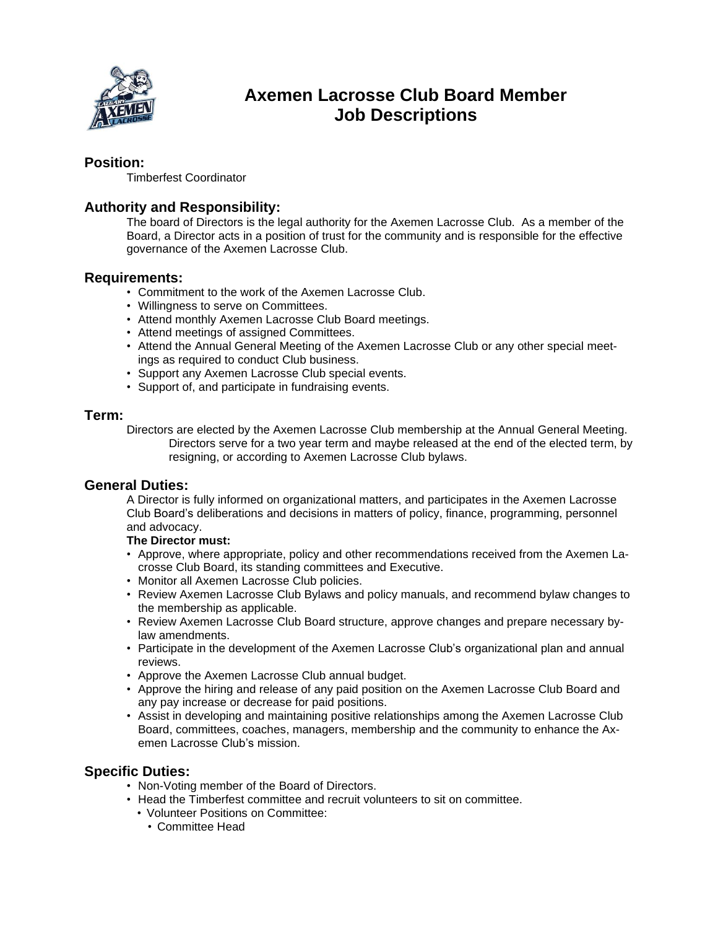

# **Axemen Lacrosse Club Board Member Job Descriptions**

## **Position:**

Timberfest Coordinator

## **Authority and Responsibility:**

The board of Directors is the legal authority for the Axemen Lacrosse Club. As a member of the Board, a Director acts in a position of trust for the community and is responsible for the effective governance of the Axemen Lacrosse Club.

### **Requirements:**

- Commitment to the work of the Axemen Lacrosse Club.
- Willingness to serve on Committees.
- Attend monthly Axemen Lacrosse Club Board meetings.
- Attend meetings of assigned Committees.
- Attend the Annual General Meeting of the Axemen Lacrosse Club or any other special meetings as required to conduct Club business.
- Support any Axemen Lacrosse Club special events.
- Support of, and participate in fundraising events.

#### **Term:**

Directors are elected by the Axemen Lacrosse Club membership at the Annual General Meeting. Directors serve for a two year term and maybe released at the end of the elected term, by resigning, or according to Axemen Lacrosse Club bylaws.

#### **General Duties:**

A Director is fully informed on organizational matters, and participates in the Axemen Lacrosse Club Board's deliberations and decisions in matters of policy, finance, programming, personnel and advocacy.

#### **The Director must:**

- Approve, where appropriate, policy and other recommendations received from the Axemen Lacrosse Club Board, its standing committees and Executive.
- Monitor all Axemen Lacrosse Club policies.
- Review Axemen Lacrosse Club Bylaws and policy manuals, and recommend bylaw changes to the membership as applicable.
- Review Axemen Lacrosse Club Board structure, approve changes and prepare necessary bylaw amendments.
- Participate in the development of the Axemen Lacrosse Club's organizational plan and annual reviews.
- Approve the Axemen Lacrosse Club annual budget.
- Approve the hiring and release of any paid position on the Axemen Lacrosse Club Board and any pay increase or decrease for paid positions.
- Assist in developing and maintaining positive relationships among the Axemen Lacrosse Club Board, committees, coaches, managers, membership and the community to enhance the Axemen Lacrosse Club's mission.

## **Specific Duties:**

- Non-Voting member of the Board of Directors.
- Head the Timberfest committee and recruit volunteers to sit on committee.
	- Volunteer Positions on Committee:
		- Committee Head